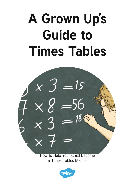# **A Grown Up's Guide to Times Tables**



How to Help Your Child Become a Times Tables Master

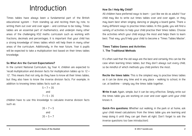# Introduction

Times tables have always been a fundamental part of the British educational system - from standing up and reciting them by rote, to writing them out over and over again – and continue to be today. Times tables are an essential part of mathematics, and underpin many other areas of the challenging KS2 maths curriculum such as working with fractions, decimals and percentages. It is important that your child has a strong knowledge of times tables which will help them in many other areas of the curriculum. Additionally, in the near future, Year 6 pupils will be expected to take a multiplication test based on their times tables knowledge.

#### **So What Are the Current Expectations?**

In the current National Curriculum, by Year 4, children are expected to 'recall multiplication and division facts for multiplication tables up to 12 × 12'. This means that not only do they have to know all their times tables, but they also have to know the inverse division facts. For example, in addition to knowing times tables facts such as:

$$
5 \times 7 = 35
$$
  
and  

$$
7 \times 5 = 35
$$

children have to use this knowledge to calculate inverse division facts such as:

> $35 \div 7 = 5$ and  $35 \div 5 = 7$

### **How Do I Help My Child?**

All children have preferred ways to learn – just like we do as adults! Your child may like to write out times tables over and over again, or they may learn best when singing, dancing or playing a board game. There a many different ways to practise times tables. In this guide, you will find a variety of activities to help your child practise their times tables. Choose the activities which your child enjoys the most and helps them to learn best. That way, you'll help your child to become a 'Times Tables Master'.

# **Times Tables Games and Activities 1. The Traditional Methods**

It's often said that the old ways are the best and certainly this can be the case when learning times tables, but they don't always suit every child, so be mindful of which methods you child prefers the most.

**Recite the times table:** This is the simplest way to practise times tables as it can be done any time and in any place – walking to school, in the car, at bedtime – simply say the times table together.

**Write it out:** Again, simple, but it can be very effective. Simply write out the times table you are working on over and over again until your child knows it.

**Quick-fire questions:** Whether out walking, in the park or at home, ask your child mixed calculations from the times table you are learning and keep doing it until they can get them all right. Don't forget to ask the inverse questions too (see introduction).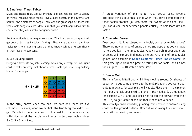#### **2. Sing Your Times Tables**

Music and jingles really aid our memory and can help us learn a variety of things, including times tables. Have a quick search on the Internet and you will find a plethora of songs. There are also great apps out there with times table songs to learn. Make sure that you watch any videos first to check that they are suitable for your children.

Another option is to write your own song. This is a great activity as it will get your child's creative juices flowing. They can try to match the times tables facts to an existing song that they know, such as a nursery rhyme or their favourite pop song.

#### **3. Use Building Bricks**

Bringing a favourite toy into learning makes any activity fun. Ask your child to make an array that shows a times table question using building bricks. For example:



In the array above, each row has five dots and there are five columns. Therefore, when we multiply the length by the width, you get 25 dots in the square. Your child could try to create an array with bricks for all the calculations in a particular times table such as  $2 \times 2$ ,  $3 \times 2$ ,  $4 \times 2$  etc.

A great variation of this is to make arrays using sweets. The best thing about this is that when they have completed their times tables practice you can share the sweets at the end (see if you can divide them between people equally, to help learn division facts)!

## **4. Computer Games**

Does your child love playing on a tablet, laptop or mobile phone? There are now a range of online games and apps that you can play to help you learn the times tables. A quick search in your app store or online will help you find many different variations of times tables games. One example is **[Space Explorer: Times Tables Game](http://www.twinkl.co.uk/resource/T-GO-07-space-explorers-times-tables)** . In this game, your child can practise multiplication facts for all times tables up to  $10 \times 10$  within a time limit.

#### **5. Dance Mat**

This is a fun activity if your child likes moving around. On sheets of paper, write out some answers to the multiplications you want your child to practise, for example the 3 × table. Place them in a circle on the floor and ask your child to stand in the middle. Say a question, for example  $3 \times 3$ , and your child has to tap the answer with their foot. Try to get faster at this so that it becomes a dance.

This activity can be varied by jumping from answer to answer, using chalk on the ground outside. Watch it wash away the next time it rains without leaving any mess!